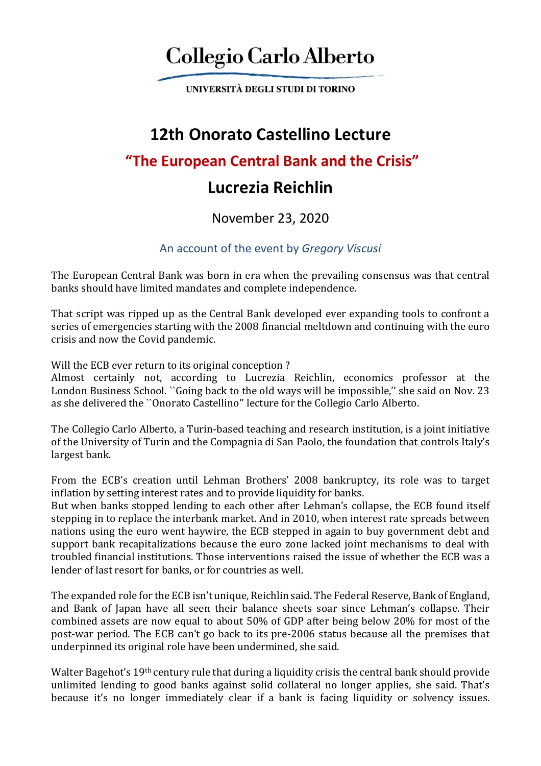# **Collegio Carlo Alberto**

UNIVERSITÀ DEGLI STUDI DI TORINO

## **12th Onorato Castellino Lecture**

### **"The European Central Bank and the Crisis"**

## **Lucrezia Reichlin**

#### November 23, 2020

#### An account of the event by *Gregory Viscusi*

The European Central Bank was born in era when the prevailing consensus was that central banks should have limited mandates and complete independence.

That script was ripped up as the Central Bank developed ever expanding tools to confront a series of emergencies starting with the 2008 financial meltdown and continuing with the euro crisis and now the Covid pandemic.

Will the ECB ever return to its original conception?

Almost certainly not, according to Lucrezia Reichlin, economics professor at the London Business School. ``Going back to the old ways will be impossible," she said on Nov. 23 as she delivered the ``Onorato Castellino'' lecture for the Collegio Carlo Alberto.

The Collegio Carlo Alberto, a Turin-based teaching and research institution, is a joint initiative of the University of Turin and the Compagnia di San Paolo, the foundation that controls Italy's largest bank.

From the ECB's creation until Lehman Brothers' 2008 bankruptcy, its role was to target inflation by setting interest rates and to provide liquidity for banks.

But when banks stopped lending to each other after Lehman's collapse, the ECB found itself stepping in to replace the interbank market. And in 2010, when interest rate spreads between nations using the euro went haywire, the ECB stepped in again to buy government debt and support bank recapitalizations because the euro zone lacked joint mechanisms to deal with troubled financial institutions. Those interventions raised the issue of whether the ECB was a lender of last resort for banks, or for countries as well.

The expanded role for the ECB isn't unique, Reichlin said. The Federal Reserve, Bank of England, and Bank of Japan have all seen their balance sheets soar since Lehman's collapse. Their combined assets are now equal to about 50% of GDP after being below 20% for most of the post-war period. The ECB can't go back to its pre-2006 status because all the premises that underpinned its original role have been undermined, she said.

Walter Bagehot's 19th century rule that during a liquidity crisis the central bank should provide unlimited lending to good banks against solid collateral no longer applies, she said. That's because it's no longer immediately clear if a bank is facing liquidity or solvency issues.